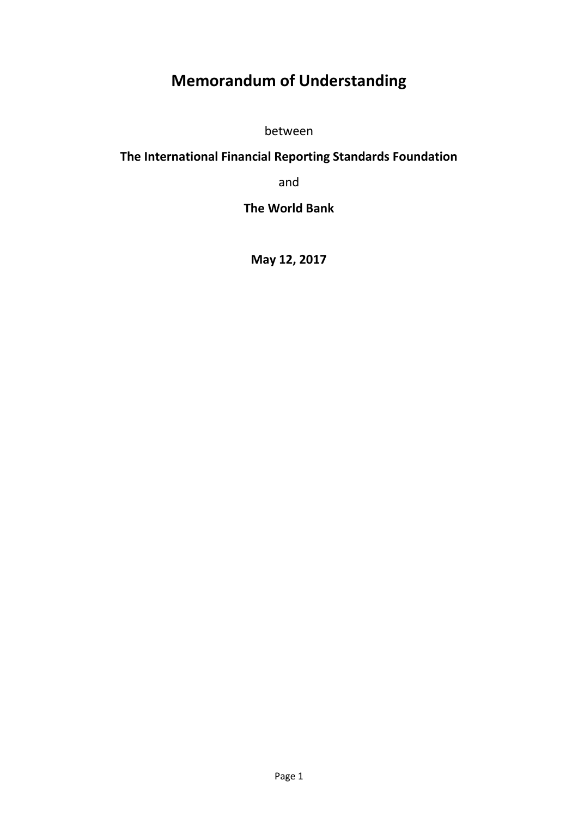# **Memorandum of Understanding**

between

## **The International Financial Reporting Standards Foundation**

and

**The World Bank**

**May 12, 2017**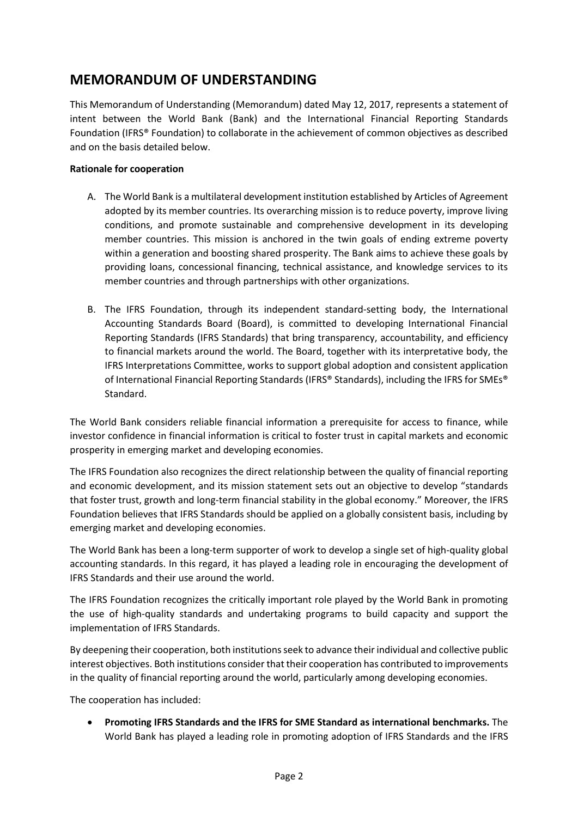### **MEMORANDUM OF UNDERSTANDING**

This Memorandum of Understanding (Memorandum) dated May 12, 2017, represents a statement of intent between the World Bank (Bank) and the International Financial Reporting Standards Foundation (IFRS® Foundation) to collaborate in the achievement of common objectives as described and on the basis detailed below.

#### **Rationale for cooperation**

- A. The World Bank is a multilateral development institution established by Articles of Agreement adopted by its member countries. Its overarching mission is to reduce poverty, improve living conditions, and promote sustainable and comprehensive development in its developing member countries. This mission is anchored in the twin goals of ending extreme poverty within a generation and boosting shared prosperity. The Bank aims to achieve these goals by providing loans, concessional financing, technical assistance, and knowledge services to its member countries and through partnerships with other organizations.
- B. The IFRS Foundation, through its independent standard-setting body, the International Accounting Standards Board (Board), is committed to developing International Financial Reporting Standards (IFRS Standards) that bring transparency, accountability, and efficiency to financial markets around the world. The Board, together with its interpretative body, the IFRS Interpretations Committee, works to support global adoption and consistent application of International Financial Reporting Standards (IFRS® Standards), including the IFRS for SMEs® Standard.

The World Bank considers reliable financial information a prerequisite for access to finance, while investor confidence in financial information is critical to foster trust in capital markets and economic prosperity in emerging market and developing economies.

The IFRS Foundation also recognizes the direct relationship between the quality of financial reporting and economic development, and its mission statement sets out an objective to develop "standards that foster trust, growth and long-term financial stability in the global economy." Moreover, the IFRS Foundation believes that IFRS Standards should be applied on a globally consistent basis, including by emerging market and developing economies.

The World Bank has been a long-term supporter of work to develop a single set of high-quality global accounting standards. In this regard, it has played a leading role in encouraging the development of IFRS Standards and their use around the world.

The IFRS Foundation recognizes the critically important role played by the World Bank in promoting the use of high-quality standards and undertaking programs to build capacity and support the implementation of IFRS Standards.

By deepening their cooperation, both institutions seek to advance their individual and collective public interest objectives. Both institutions consider that their cooperation has contributed to improvements in the quality of financial reporting around the world, particularly among developing economies.

The cooperation has included:

 **Promoting IFRS Standards and the IFRS for SME Standard as international benchmarks.** The World Bank has played a leading role in promoting adoption of IFRS Standards and the IFRS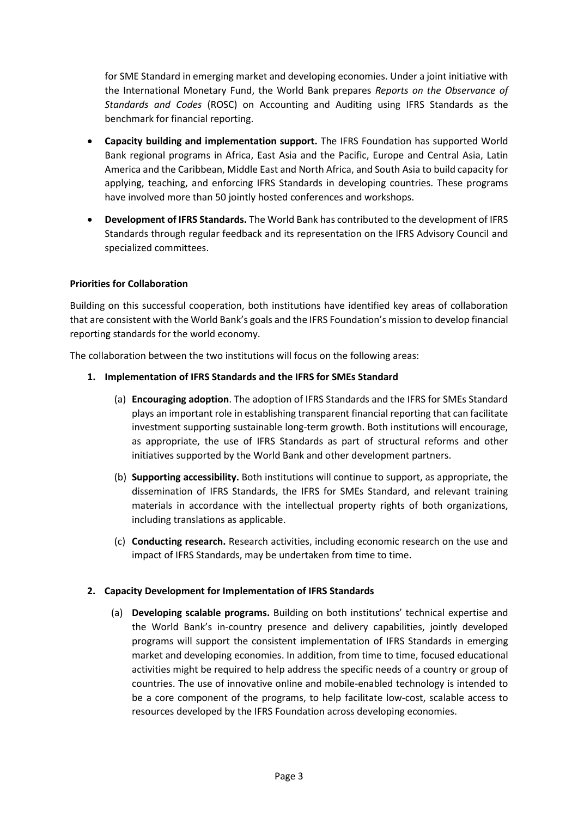for SME Standard in emerging market and developing economies. Under a joint initiative with the International Monetary Fund, the World Bank prepares *Reports on the Observance of Standards and Codes* (ROSC) on Accounting and Auditing using IFRS Standards as the benchmark for financial reporting.

- **Capacity building and implementation support.** The IFRS Foundation has supported World Bank regional programs in Africa, East Asia and the Pacific, Europe and Central Asia, Latin America and the Caribbean, Middle East and North Africa, and South Asia to build capacity for applying, teaching, and enforcing IFRS Standards in developing countries. These programs have involved more than 50 jointly hosted conferences and workshops.
- **Development of IFRS Standards.** The World Bank has contributed to the development of IFRS Standards through regular feedback and its representation on the IFRS Advisory Council and specialized committees.

#### **Priorities for Collaboration**

Building on this successful cooperation, both institutions have identified key areas of collaboration that are consistent with the World Bank's goals and the IFRS Foundation's mission to develop financial reporting standards for the world economy.

The collaboration between the two institutions will focus on the following areas:

#### **1. Implementation of IFRS Standards and the IFRS for SMEs Standard**

- (a) **Encouraging adoption**. The adoption of IFRS Standards and the IFRS for SMEs Standard plays an important role in establishing transparent financial reporting that can facilitate investment supporting sustainable long-term growth. Both institutions will encourage, as appropriate, the use of IFRS Standards as part of structural reforms and other initiatives supported by the World Bank and other development partners.
- (b) **Supporting accessibility.** Both institutions will continue to support, as appropriate, the dissemination of IFRS Standards, the IFRS for SMEs Standard, and relevant training materials in accordance with the intellectual property rights of both organizations, including translations as applicable.
- (c) **Conducting research.** Research activities, including economic research on the use and impact of IFRS Standards, may be undertaken from time to time.

#### **2. Capacity Development for Implementation of IFRS Standards**

(a) **Developing scalable programs.** Building on both institutions' technical expertise and the World Bank's in-country presence and delivery capabilities, jointly developed programs will support the consistent implementation of IFRS Standards in emerging market and developing economies. In addition, from time to time, focused educational activities might be required to help address the specific needs of a country or group of countries. The use of innovative online and mobile-enabled technology is intended to be a core component of the programs, to help facilitate low-cost, scalable access to resources developed by the IFRS Foundation across developing economies.